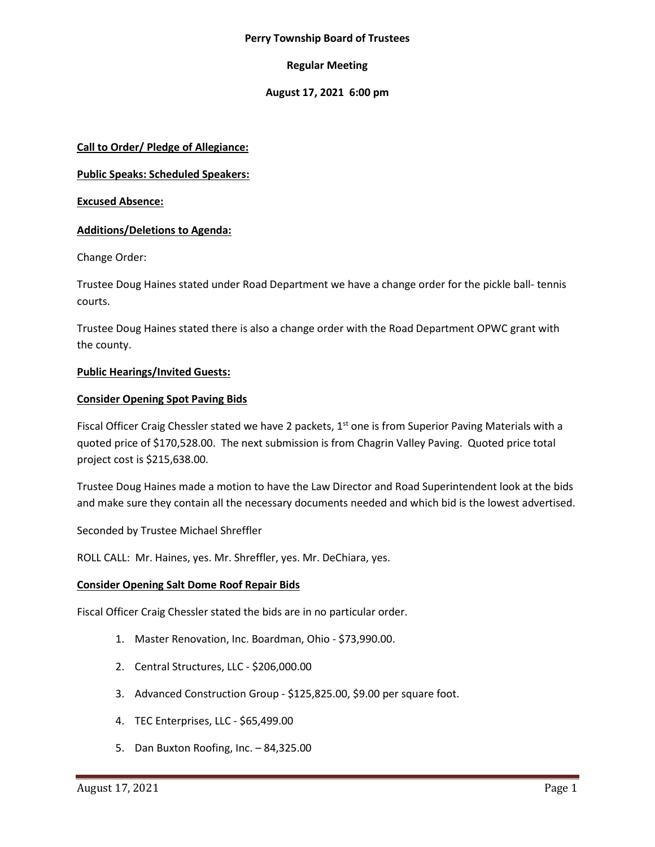#### **Perry Township Board of Trustees**

#### **Regular Meeting**

#### **August 17, 2021 6:00 pm**

#### **Call to Order/ Pledge of Allegiance:**

**Public Speaks: Scheduled Speakers:**

**Excused Absence:**

#### **Additions/Deletions to Agenda:**

Change Order:

Trustee Doug Haines stated under Road Department we have a change order for the pickle ball- tennis courts.

Trustee Doug Haines stated there is also a change order with the Road Department OPWC grant with the county.

#### **Public Hearings/Invited Guests:**

#### **Consider Opening Spot Paving Bids**

Fiscal Officer Craig Chessler stated we have 2 packets,  $1<sup>st</sup>$  one is from Superior Paving Materials with a quoted price of \$170,528.00. The next submission is from Chagrin Valley Paving. Quoted price total project cost is \$215,638.00.

Trustee Doug Haines made a motion to have the Law Director and Road Superintendent look at the bids and make sure they contain all the necessary documents needed and which bid is the lowest advertised.

Seconded by Trustee Michael Shreffler

ROLL CALL: Mr. Haines, yes. Mr. Shreffler, yes. Mr. DeChiara, yes.

#### **Consider Opening Salt Dome Roof Repair Bids**

Fiscal Officer Craig Chessler stated the bids are in no particular order.

- 1. Master Renovation, Inc. Boardman, Ohio \$73,990.00.
- 2. Central Structures, LLC \$206,000.00
- 3. Advanced Construction Group \$125,825.00, \$9.00 per square foot.
- 4. TEC Enterprises, LLC \$65,499.00
- 5. Dan Buxton Roofing, Inc. 84,325.00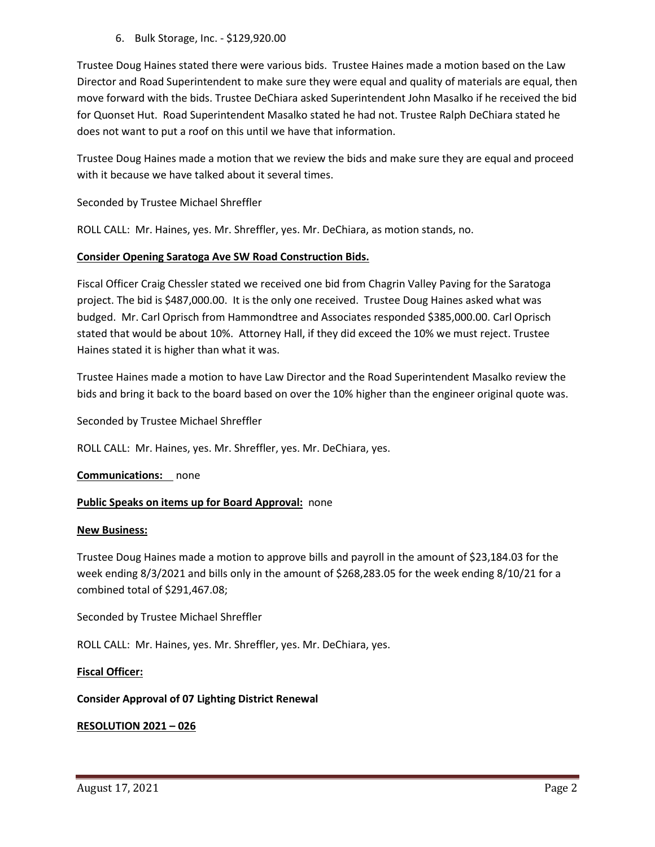6. Bulk Storage, Inc. - \$129,920.00

Trustee Doug Haines stated there were various bids. Trustee Haines made a motion based on the Law Director and Road Superintendent to make sure they were equal and quality of materials are equal, then move forward with the bids. Trustee DeChiara asked Superintendent John Masalko if he received the bid for Quonset Hut. Road Superintendent Masalko stated he had not. Trustee Ralph DeChiara stated he does not want to put a roof on this until we have that information.

Trustee Doug Haines made a motion that we review the bids and make sure they are equal and proceed with it because we have talked about it several times.

Seconded by Trustee Michael Shreffler

ROLL CALL: Mr. Haines, yes. Mr. Shreffler, yes. Mr. DeChiara, as motion stands, no.

#### **Consider Opening Saratoga Ave SW Road Construction Bids.**

Fiscal Officer Craig Chessler stated we received one bid from Chagrin Valley Paving for the Saratoga project. The bid is \$487,000.00. It is the only one received. Trustee Doug Haines asked what was budged. Mr. Carl Oprisch from Hammondtree and Associates responded \$385,000.00. Carl Oprisch stated that would be about 10%. Attorney Hall, if they did exceed the 10% we must reject. Trustee Haines stated it is higher than what it was.

Trustee Haines made a motion to have Law Director and the Road Superintendent Masalko review the bids and bring it back to the board based on over the 10% higher than the engineer original quote was.

Seconded by Trustee Michael Shreffler

ROLL CALL: Mr. Haines, yes. Mr. Shreffler, yes. Mr. DeChiara, yes.

**Communications:** none

#### **Public Speaks on items up for Board Approval:** none

#### **New Business:**

Trustee Doug Haines made a motion to approve bills and payroll in the amount of \$23,184.03 for the week ending 8/3/2021 and bills only in the amount of \$268,283.05 for the week ending 8/10/21 for a combined total of \$291,467.08;

Seconded by Trustee Michael Shreffler

ROLL CALL: Mr. Haines, yes. Mr. Shreffler, yes. Mr. DeChiara, yes.

#### **Fiscal Officer:**

#### **Consider Approval of 07 Lighting District Renewal**

#### **RESOLUTION 2021 – 026**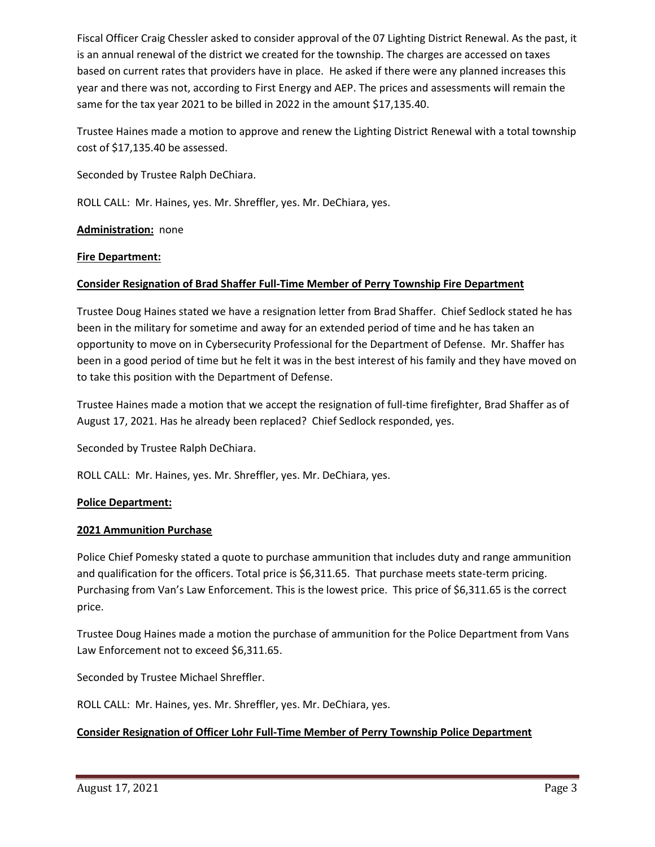Fiscal Officer Craig Chessler asked to consider approval of the 07 Lighting District Renewal. As the past, it is an annual renewal of the district we created for the township. The charges are accessed on taxes based on current rates that providers have in place. He asked if there were any planned increases this year and there was not, according to First Energy and AEP. The prices and assessments will remain the same for the tax year 2021 to be billed in 2022 in the amount \$17,135.40.

Trustee Haines made a motion to approve and renew the Lighting District Renewal with a total township cost of \$17,135.40 be assessed.

Seconded by Trustee Ralph DeChiara.

ROLL CALL: Mr. Haines, yes. Mr. Shreffler, yes. Mr. DeChiara, yes.

#### **Administration:** none

#### **Fire Department:**

### **Consider Resignation of Brad Shaffer Full-Time Member of Perry Township Fire Department**

Trustee Doug Haines stated we have a resignation letter from Brad Shaffer. Chief Sedlock stated he has been in the military for sometime and away for an extended period of time and he has taken an opportunity to move on in Cybersecurity Professional for the Department of Defense. Mr. Shaffer has been in a good period of time but he felt it was in the best interest of his family and they have moved on to take this position with the Department of Defense.

Trustee Haines made a motion that we accept the resignation of full-time firefighter, Brad Shaffer as of August 17, 2021. Has he already been replaced? Chief Sedlock responded, yes.

Seconded by Trustee Ralph DeChiara.

ROLL CALL: Mr. Haines, yes. Mr. Shreffler, yes. Mr. DeChiara, yes.

#### **Police Department:**

#### **2021 Ammunition Purchase**

Police Chief Pomesky stated a quote to purchase ammunition that includes duty and range ammunition and qualification for the officers. Total price is \$6,311.65. That purchase meets state-term pricing. Purchasing from Van's Law Enforcement. This is the lowest price. This price of \$6,311.65 is the correct price.

Trustee Doug Haines made a motion the purchase of ammunition for the Police Department from Vans Law Enforcement not to exceed \$6,311.65.

Seconded by Trustee Michael Shreffler.

ROLL CALL: Mr. Haines, yes. Mr. Shreffler, yes. Mr. DeChiara, yes.

#### **Consider Resignation of Officer Lohr Full-Time Member of Perry Township Police Department**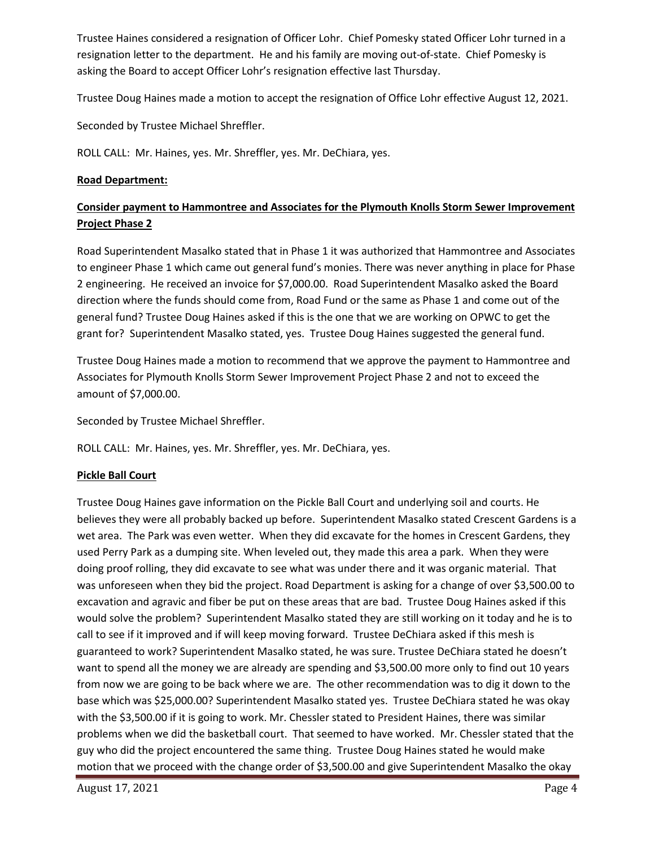Trustee Haines considered a resignation of Officer Lohr. Chief Pomesky stated Officer Lohr turned in a resignation letter to the department. He and his family are moving out-of-state. Chief Pomesky is asking the Board to accept Officer Lohr's resignation effective last Thursday.

Trustee Doug Haines made a motion to accept the resignation of Office Lohr effective August 12, 2021.

Seconded by Trustee Michael Shreffler.

ROLL CALL: Mr. Haines, yes. Mr. Shreffler, yes. Mr. DeChiara, yes.

#### **Road Department:**

# **Consider payment to Hammontree and Associates for the Plymouth Knolls Storm Sewer Improvement Project Phase 2**

Road Superintendent Masalko stated that in Phase 1 it was authorized that Hammontree and Associates to engineer Phase 1 which came out general fund's monies. There was never anything in place for Phase 2 engineering. He received an invoice for \$7,000.00. Road Superintendent Masalko asked the Board direction where the funds should come from, Road Fund or the same as Phase 1 and come out of the general fund? Trustee Doug Haines asked if this is the one that we are working on OPWC to get the grant for? Superintendent Masalko stated, yes. Trustee Doug Haines suggested the general fund.

Trustee Doug Haines made a motion to recommend that we approve the payment to Hammontree and Associates for Plymouth Knolls Storm Sewer Improvement Project Phase 2 and not to exceed the amount of \$7,000.00.

Seconded by Trustee Michael Shreffler.

ROLL CALL: Mr. Haines, yes. Mr. Shreffler, yes. Mr. DeChiara, yes.

#### **Pickle Ball Court**

Trustee Doug Haines gave information on the Pickle Ball Court and underlying soil and courts. He believes they were all probably backed up before. Superintendent Masalko stated Crescent Gardens is a wet area. The Park was even wetter. When they did excavate for the homes in Crescent Gardens, they used Perry Park as a dumping site. When leveled out, they made this area a park. When they were doing proof rolling, they did excavate to see what was under there and it was organic material. That was unforeseen when they bid the project. Road Department is asking for a change of over \$3,500.00 to excavation and agravic and fiber be put on these areas that are bad. Trustee Doug Haines asked if this would solve the problem? Superintendent Masalko stated they are still working on it today and he is to call to see if it improved and if will keep moving forward. Trustee DeChiara asked if this mesh is guaranteed to work? Superintendent Masalko stated, he was sure. Trustee DeChiara stated he doesn't want to spend all the money we are already are spending and \$3,500.00 more only to find out 10 years from now we are going to be back where we are. The other recommendation was to dig it down to the base which was \$25,000.00? Superintendent Masalko stated yes. Trustee DeChiara stated he was okay with the \$3,500.00 if it is going to work. Mr. Chessler stated to President Haines, there was similar problems when we did the basketball court. That seemed to have worked. Mr. Chessler stated that the guy who did the project encountered the same thing. Trustee Doug Haines stated he would make motion that we proceed with the change order of \$3,500.00 and give Superintendent Masalko the okay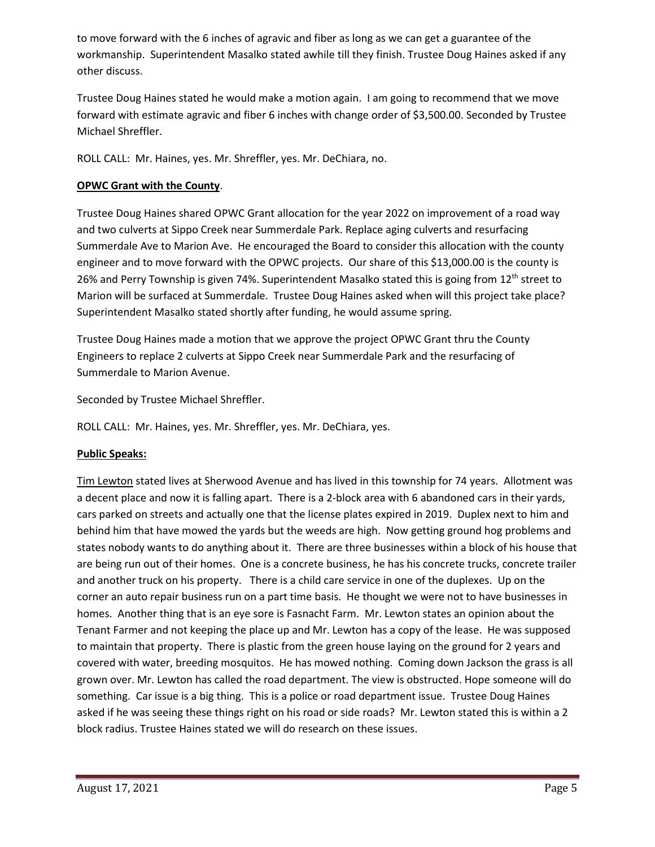to move forward with the 6 inches of agravic and fiber as long as we can get a guarantee of the workmanship. Superintendent Masalko stated awhile till they finish. Trustee Doug Haines asked if any other discuss.

Trustee Doug Haines stated he would make a motion again. I am going to recommend that we move forward with estimate agravic and fiber 6 inches with change order of \$3,500.00. Seconded by Trustee Michael Shreffler.

ROLL CALL: Mr. Haines, yes. Mr. Shreffler, yes. Mr. DeChiara, no.

## **OPWC Grant with the County**.

Trustee Doug Haines shared OPWC Grant allocation for the year 2022 on improvement of a road way and two culverts at Sippo Creek near Summerdale Park. Replace aging culverts and resurfacing Summerdale Ave to Marion Ave. He encouraged the Board to consider this allocation with the county engineer and to move forward with the OPWC projects. Our share of this \$13,000.00 is the county is 26% and Perry Township is given 74%. Superintendent Masalko stated this is going from 12<sup>th</sup> street to Marion will be surfaced at Summerdale. Trustee Doug Haines asked when will this project take place? Superintendent Masalko stated shortly after funding, he would assume spring.

Trustee Doug Haines made a motion that we approve the project OPWC Grant thru the County Engineers to replace 2 culverts at Sippo Creek near Summerdale Park and the resurfacing of Summerdale to Marion Avenue.

Seconded by Trustee Michael Shreffler.

ROLL CALL: Mr. Haines, yes. Mr. Shreffler, yes. Mr. DeChiara, yes.

### **Public Speaks:**

Tim Lewton stated lives at Sherwood Avenue and has lived in this township for 74 years. Allotment was a decent place and now it is falling apart. There is a 2-block area with 6 abandoned cars in their yards, cars parked on streets and actually one that the license plates expired in 2019. Duplex next to him and behind him that have mowed the yards but the weeds are high. Now getting ground hog problems and states nobody wants to do anything about it. There are three businesses within a block of his house that are being run out of their homes. One is a concrete business, he has his concrete trucks, concrete trailer and another truck on his property. There is a child care service in one of the duplexes. Up on the corner an auto repair business run on a part time basis. He thought we were not to have businesses in homes. Another thing that is an eye sore is Fasnacht Farm. Mr. Lewton states an opinion about the Tenant Farmer and not keeping the place up and Mr. Lewton has a copy of the lease. He was supposed to maintain that property. There is plastic from the green house laying on the ground for 2 years and covered with water, breeding mosquitos. He has mowed nothing. Coming down Jackson the grass is all grown over. Mr. Lewton has called the road department. The view is obstructed. Hope someone will do something. Car issue is a big thing. This is a police or road department issue. Trustee Doug Haines asked if he was seeing these things right on his road or side roads? Mr. Lewton stated this is within a 2 block radius. Trustee Haines stated we will do research on these issues.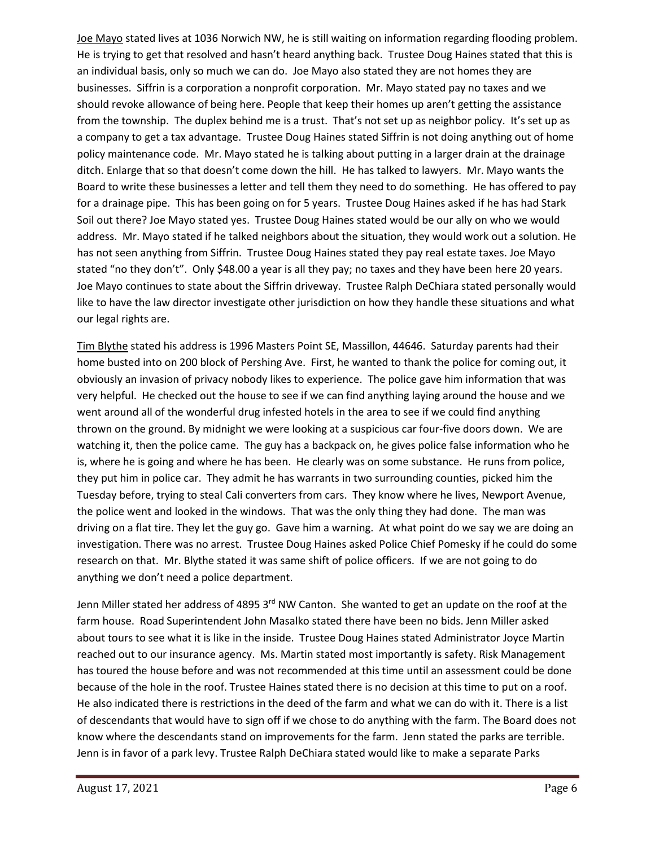Joe Mayo stated lives at 1036 Norwich NW, he is still waiting on information regarding flooding problem. He is trying to get that resolved and hasn't heard anything back. Trustee Doug Haines stated that this is an individual basis, only so much we can do. Joe Mayo also stated they are not homes they are businesses. Siffrin is a corporation a nonprofit corporation. Mr. Mayo stated pay no taxes and we should revoke allowance of being here. People that keep their homes up aren't getting the assistance from the township. The duplex behind me is a trust. That's not set up as neighbor policy. It's set up as a company to get a tax advantage. Trustee Doug Haines stated Siffrin is not doing anything out of home policy maintenance code. Mr. Mayo stated he is talking about putting in a larger drain at the drainage ditch. Enlarge that so that doesn't come down the hill. He has talked to lawyers. Mr. Mayo wants the Board to write these businesses a letter and tell them they need to do something. He has offered to pay for a drainage pipe. This has been going on for 5 years. Trustee Doug Haines asked if he has had Stark Soil out there? Joe Mayo stated yes. Trustee Doug Haines stated would be our ally on who we would address. Mr. Mayo stated if he talked neighbors about the situation, they would work out a solution. He has not seen anything from Siffrin. Trustee Doug Haines stated they pay real estate taxes. Joe Mayo stated "no they don't". Only \$48.00 a year is all they pay; no taxes and they have been here 20 years. Joe Mayo continues to state about the Siffrin driveway. Trustee Ralph DeChiara stated personally would like to have the law director investigate other jurisdiction on how they handle these situations and what our legal rights are.

Tim Blythe stated his address is 1996 Masters Point SE, Massillon, 44646. Saturday parents had their home busted into on 200 block of Pershing Ave. First, he wanted to thank the police for coming out, it obviously an invasion of privacy nobody likes to experience. The police gave him information that was very helpful. He checked out the house to see if we can find anything laying around the house and we went around all of the wonderful drug infested hotels in the area to see if we could find anything thrown on the ground. By midnight we were looking at a suspicious car four-five doors down. We are watching it, then the police came. The guy has a backpack on, he gives police false information who he is, where he is going and where he has been. He clearly was on some substance. He runs from police, they put him in police car. They admit he has warrants in two surrounding counties, picked him the Tuesday before, trying to steal Cali converters from cars. They know where he lives, Newport Avenue, the police went and looked in the windows. That was the only thing they had done. The man was driving on a flat tire. They let the guy go. Gave him a warning. At what point do we say we are doing an investigation. There was no arrest. Trustee Doug Haines asked Police Chief Pomesky if he could do some research on that. Mr. Blythe stated it was same shift of police officers. If we are not going to do anything we don't need a police department.

Jenn Miller stated her address of 4895 3<sup>rd</sup> NW Canton. She wanted to get an update on the roof at the farm house. Road Superintendent John Masalko stated there have been no bids. Jenn Miller asked about tours to see what it is like in the inside. Trustee Doug Haines stated Administrator Joyce Martin reached out to our insurance agency. Ms. Martin stated most importantly is safety. Risk Management has toured the house before and was not recommended at this time until an assessment could be done because of the hole in the roof. Trustee Haines stated there is no decision at this time to put on a roof. He also indicated there is restrictions in the deed of the farm and what we can do with it. There is a list of descendants that would have to sign off if we chose to do anything with the farm. The Board does not know where the descendants stand on improvements for the farm. Jenn stated the parks are terrible. Jenn is in favor of a park levy. Trustee Ralph DeChiara stated would like to make a separate Parks